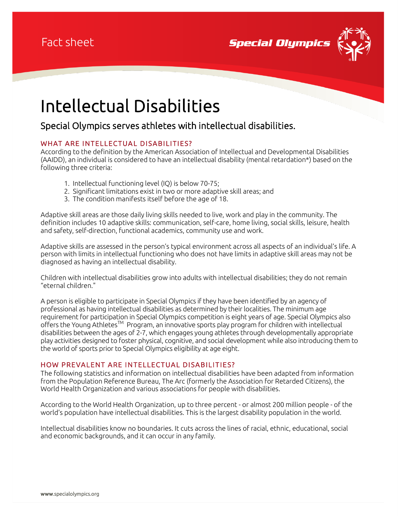

# Intellectual Disabilities

## Special Olympics serves athletes with intellectual disabilities.

#### WHAT ARE INTELLECTUAL DISABILITIES?

According to the definition by the American Association of Intellectual and Developmental Disabilities (AAIDD), an individual is considered to have an intellectual disability (mental retardation\*) based on the following three criteria:

- 1. Intellectual functioning level (IQ) is below 70-75;
- 2. Significant limitations exist in two or more adaptive skill areas; and
- 3. The condition manifests itself before the age of 18.

Adaptive skill areas are those daily living skills needed to live, work and play in the community. The definition includes 10 adaptive skills: communication, self-care, home living, social skills, leisure, health and safety, self-direction, functional academics, community use and work.

Adaptive skills are assessed in the person's typical environment across all aspects of an individual's life. A person with limits in intellectual functioning who does not have limits in adaptive skill areas may not be diagnosed as having an intellectual disability.

Children with intellectual disabilities grow into adults with intellectual disabilities; they do not remain "eternal children."

A person is eligible to participate in Special Olympics if they have been identified by an agency of professional as having intellectual disabilities as determined by their localities. The minimum age requirement for participation in Special Olympics competition is eight years of age. Special Olympics also offers the Young Athletes™ Program, an innovative sports play program for children with intellectual disabilities between the ages of 2-7, which engages young athletes through developmentally appropriate play activities designed to foster physical, cognitive, and social development while also introducing them to the world of sports prior to Special Olympics eligibility at age eight.

#### HOW PREVALENT ARE INTELLECTUAL DISABILITIES?

The following statistics and information on intellectual disabilities have been adapted from information from the Population Reference Bureau, The Arc (formerly the Association for Retarded Citizens), the World Health Organization and various associations for people with disabilities.

According to the World Health Organization, up to three percent - or almost 200 million people - of the world's population have intellectual disabilities. This is the largest disability population in the world.

Intellectual disabilities know no boundaries. It cuts across the lines of racial, ethnic, educational, social and economic backgrounds, and it can occur in any family.